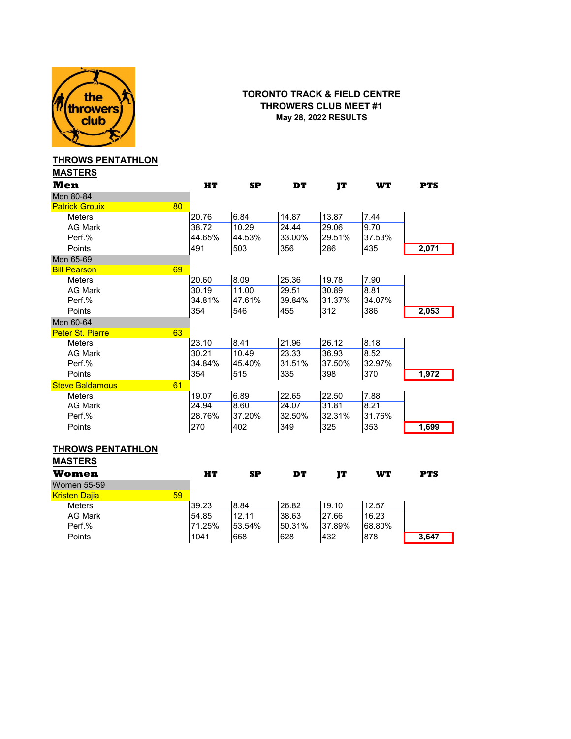

## **TORONTO TRACK & FIELD CENTRE THROWERS CLUB MEET #1 May 28, 2022 RESULTS**

### **THROWS PENTATHLON**

| <b>MASTERS</b>                |        |           |        |        |           |            |
|-------------------------------|--------|-----------|--------|--------|-----------|------------|
| Men                           | HT     | <b>SP</b> | DT     | IT     | <b>WT</b> | <b>PTS</b> |
| Men 80-84                     |        |           |        |        |           |            |
| 80<br><b>Patrick Grouix</b>   |        |           |        |        |           |            |
| <b>Meters</b>                 | 20.76  | 6.84      | 14.87  | 13.87  | 7.44      |            |
| AG Mark                       | 38.72  | 10.29     | 24.44  | 29.06  | 9.70      |            |
| Perf.%                        | 44.65% | 44.53%    | 33.00% | 29.51% | 37.53%    |            |
| Points                        | 491    | 503       | 356    | 286    | 435       | 2,071      |
| Men 65-69                     |        |           |        |        |           |            |
| 69<br><b>Bill Pearson</b>     |        |           |        |        |           |            |
| <b>Meters</b>                 | 20.60  | 8.09      | 25.36  | 19.78  | 7.90      |            |
| <b>AG Mark</b>                | 30.19  | 11.00     | 29.51  | 30.89  | 8.81      |            |
| Perf.%                        | 34.81% | 47.61%    | 39.84% | 31.37% | 34.07%    |            |
| Points                        | 354    | 546       | 455    | 312    | 386       | 2,053      |
| Men 60-64                     |        |           |        |        |           |            |
| <b>Peter St. Pierre</b><br>63 |        |           |        |        |           |            |
| <b>Meters</b>                 | 23.10  | 8.41      | 21.96  | 26.12  | 8.18      |            |
| AG Mark                       | 30.21  | 10.49     | 23.33  | 36.93  | 8.52      |            |
| Perf.%                        | 34.84% | 45.40%    | 31.51% | 37.50% | 32.97%    |            |
| Points                        | 354    | 515       | 335    | 398    | 370       | 1,972      |
| 61<br><b>Steve Baldamous</b>  |        |           |        |        |           |            |
| <b>Meters</b>                 | 19.07  | 6.89      | 22.65  | 22.50  | 7.88      |            |
| AG Mark                       | 24.94  | 8.60      | 24.07  | 31.81  | 8.21      |            |
| Perf.%                        | 28.76% | 37.20%    | 32.50% | 32.31% | 31.76%    |            |
| Points                        | 270    | 402       | 349    | 325    | 353       | 1,699      |

## **THROWS PENTATHLON**

**MASTERS**

| Women                |                 | HT     | SP     | DT     | іт     | WT     | PTS   |
|----------------------|-----------------|--------|--------|--------|--------|--------|-------|
| <b>Women 55-59</b>   |                 |        |        |        |        |        |       |
| <b>Kristen Dajia</b> | 59 <sub>1</sub> |        |        |        |        |        |       |
| <b>Meters</b>        |                 | 39.23  | 8.84   | 26.82  | 19.10  | 12.57  |       |
| <b>AG Mark</b>       |                 | 54.85  | 12.11  | 38.63  | 27.66  | 16.23  |       |
| Perf.%               |                 | 71.25% | 53.54% | 50.31% | 37.89% | 68.80% |       |
| Points               |                 | 1041   | 668    | 628    | 432    | 878    | 3.647 |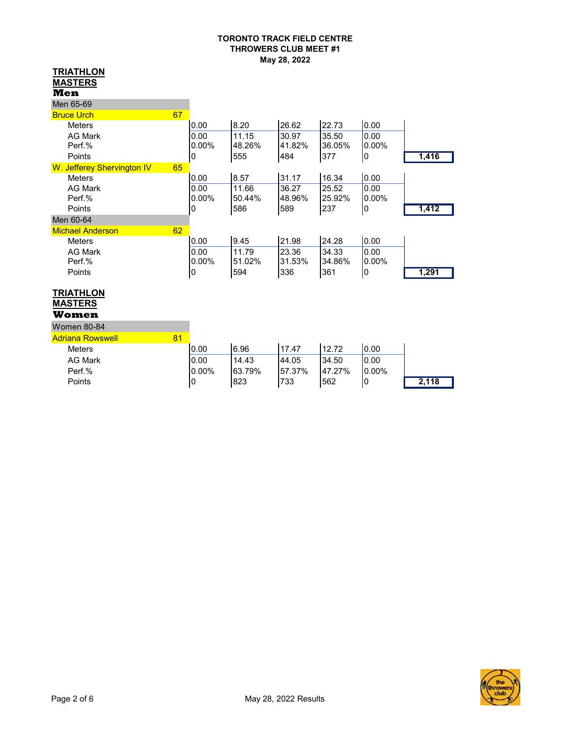| <b>TRIATHLON</b>           |    |           |        |        |        |                |       |
|----------------------------|----|-----------|--------|--------|--------|----------------|-------|
| <b>MASTERS</b>             |    |           |        |        |        |                |       |
| Men                        |    |           |        |        |        |                |       |
| Men 65-69                  |    |           |        |        |        |                |       |
| <b>Bruce Urch</b>          | 67 |           |        |        |        |                |       |
| <b>Meters</b>              |    | 0.00      | 8.20   | 26.62  | 22.73  | 0.00           |       |
| <b>AG Mark</b>             |    | 0.00      | 11.15  | 30.97  | 35.50  | 0.00           |       |
| Perf.%                     |    | $0.00\%$  | 48.26% | 41.82% | 36.05% | 0.00%          |       |
| Points                     |    | 0         | 555    | 484    | 377    | $\overline{0}$ | 1,416 |
| W. Jefferey Shervington IV | 65 |           |        |        |        |                |       |
| <b>Meters</b>              |    | 0.00      | 8.57   | 31.17  | 16.34  | 0.00           |       |
| <b>AG Mark</b>             |    | 0.00      | 11.66  | 36.27  | 25.52  | 0.00           |       |
| Perf.%                     |    | $0.00\%$  | 50.44% | 48.96% | 25.92% | $0.00\%$       |       |
| Points                     |    | 0         | 586    | 589    | 237    | $\overline{0}$ | 1,412 |
| Men 60-64                  |    |           |        |        |        |                |       |
| <b>Michael Anderson</b>    | 62 |           |        |        |        |                |       |
| <b>Meters</b>              |    | 0.00      | 9.45   | 21.98  | 24.28  | 0.00           |       |
| AG Mark                    |    | 0.00      | 11.79  | 23.36  | 34.33  | 0.00           |       |
| Perf.%                     |    | $0.00\%$  | 51.02% | 31.53% | 34.86% | $0.00\%$       |       |
| Points                     |    | $\pmb{0}$ | 594    | 336    | 361    | $\overline{0}$ | 1,291 |
|                            |    |           |        |        |        |                |       |
| <b>TRIATHLON</b>           |    |           |        |        |        |                |       |
| <b>MASTERS</b>             |    |           |        |        |        |                |       |
| Women                      |    |           |        |        |        |                |       |
| <b>Women 80-84</b>         |    |           |        |        |        |                |       |
| <b>Adriana Rowswell</b>    | 81 |           |        |        |        |                |       |
| <b>Meters</b>              |    | 0.00      | 6.96   | 17.47  | 12.72  | 0.00           |       |
| AG Mark                    |    | 0.00      | 14.43  | 44.05  | 34.50  | 0.00           |       |
| Perf.%                     |    | $0.00\%$  | 63.79% | 57.37% | 47.27% | $0.00\%$       |       |
| Points                     |    | 0         | 823    | 733    | 562    | 0              | 2,118 |

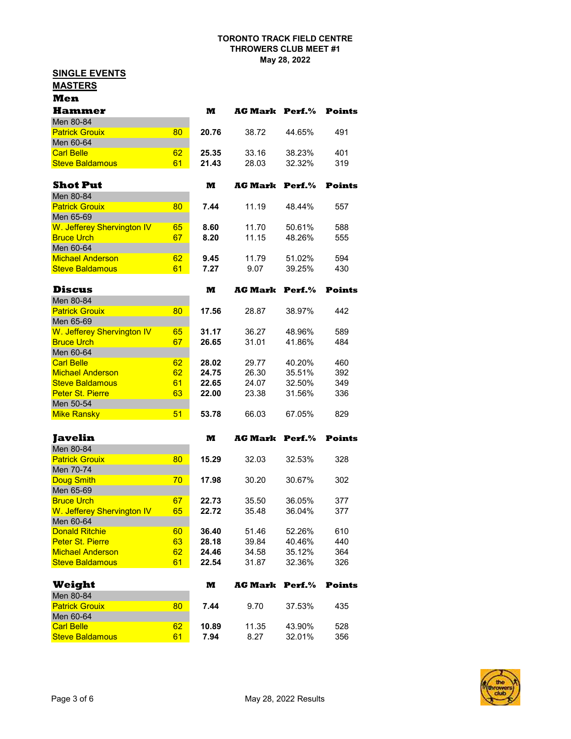#### **SINGLE EVENTS**

| MASTEI | G |
|--------|---|
|        |   |

| Men                        |    |       |         |           |               |
|----------------------------|----|-------|---------|-----------|---------------|
| <b>Hammer</b>              |    | M     | AG Mark | Perf.%    | <b>Points</b> |
| Men 80-84                  |    |       |         |           |               |
| <b>Patrick Grouix</b>      | 80 | 20.76 | 38.72   | 44.65%    | 491           |
| Men 60-64                  |    |       |         |           |               |
| <b>Carl Belle</b>          | 62 | 25.35 | 33.16   | 38.23%    | 401           |
| <b>Steve Baldamous</b>     | 61 | 21.43 | 28.03   | 32.32%    | 319           |
|                            |    |       |         |           |               |
| <b>Shot Put</b>            |    | M     | AG Mark | $Perf.$ % | <b>Points</b> |
| Men 80-84                  |    |       |         |           |               |
| <b>Patrick Grouix</b>      | 80 | 7.44  | 11.19   | 48.44%    | 557           |
| Men 65-69                  |    |       |         |           |               |
| W. Jefferey Shervington IV | 65 | 8.60  | 11.70   | 50.61%    | 588           |
| <b>Bruce Urch</b>          | 67 | 8.20  | 11.15   | 48.26%    | 555           |
| Men 60-64                  |    |       |         |           |               |
| <b>Michael Anderson</b>    | 62 | 9.45  | 11.79   | 51.02%    | 594           |
| <b>Steve Baldamous</b>     | 61 | 7.27  | 9.07    | 39.25%    | 430           |
|                            |    |       |         |           |               |
| <b>Discus</b>              |    | M     | AG Mark | Perf.%    | Points        |
| Men 80-84                  |    |       |         |           |               |
| <b>Patrick Grouix</b>      | 80 | 17.56 | 28.87   | 38.97%    | 442           |
| Men 65-69                  |    |       |         |           |               |
| W. Jefferey Shervington IV | 65 | 31.17 | 36.27   | 48.96%    | 589           |
| <b>Bruce Urch</b>          | 67 | 26.65 | 31.01   | 41.86%    | 484           |
| Men 60-64                  |    |       |         |           |               |
| <b>Carl Belle</b>          | 62 | 28.02 | 29.77   | 40.20%    | 460           |
| <b>Michael Anderson</b>    | 62 | 24.75 | 26.30   | 35.51%    | 392           |
| <b>Steve Baldamous</b>     | 61 | 22.65 | 24.07   | 32.50%    | 349           |
| <b>Peter St. Pierre</b>    | 63 | 22.00 | 23.38   | 31.56%    | 336           |
| Men 50-54                  |    |       |         |           |               |
| <b>Mike Ransky</b>         | 51 | 53.78 | 66.03   | 67.05%    | 829           |
|                            |    |       |         |           |               |
| <b>Javelin</b>             |    | M     | AG Mark | Perf.%    | <b>Points</b> |
| Men 80-84                  |    |       |         |           |               |
| <b>Patrick Grouix</b>      | 80 | 15.29 | 32.03   | 32.53%    | 328           |
| Men 70-74                  |    |       |         |           |               |
| <b>Doug Smith</b>          | 70 | 17.98 | 30.20   | 30.67%    | 302           |
| Men 65-69                  |    |       |         |           |               |
| <b>Bruce Urch</b>          | 67 | 22.73 | 35.50   | 36.05%    | 377           |
| W. Jefferey Shervington IV | 65 | 22.72 | 35.48   | 36.04%    | 377           |
| Men 60-64                  |    |       |         |           |               |
| <b>Donald Ritchie</b>      | 60 | 36.40 | 51.46   | 52.26%    | 610           |
| <b>Peter St. Pierre</b>    | 63 | 28.18 | 39.84   | 40.46%    | 440           |
| <b>Michael Anderson</b>    | 62 | 24.46 | 34.58   | 35.12%    | 364           |
| <b>Steve Baldamous</b>     | 61 | 22.54 | 31.87   | 32.36%    | 326           |
|                            |    |       |         |           |               |
| Weight                     |    | M     | AG Mark | Perf.%    | <b>Points</b> |
| Men 80-84                  |    |       |         |           |               |
| <b>Patrick Grouix</b>      | 80 | 7.44  | 9.70    | 37.53%    | 435           |
| Men 60-64                  |    |       |         |           |               |
| <b>Carl Belle</b>          | 62 | 10.89 | 11.35   | 43.90%    | 528           |
| <b>Steve Baldamous</b>     | 61 | 7.94  | 8.27    | 32.01%    | 356           |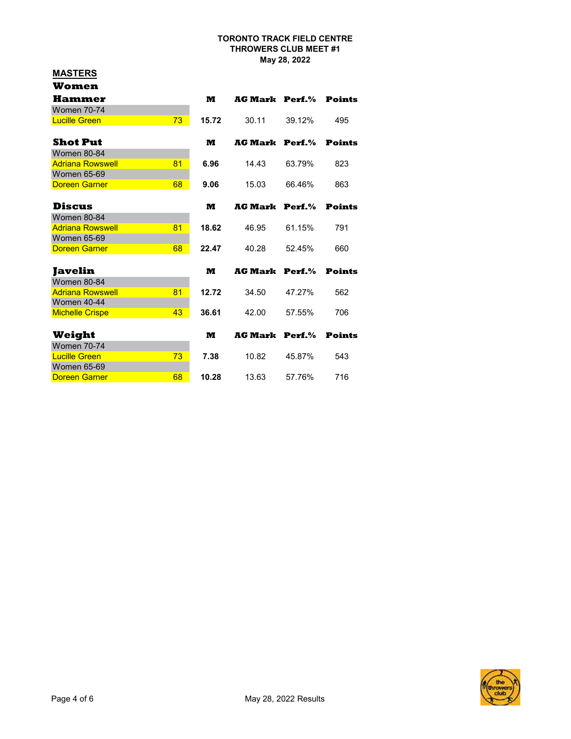# **MASTERS**

| Women                   |    |       |                       |        |               |
|-------------------------|----|-------|-----------------------|--------|---------------|
| Hammer                  |    | M     | AG Mark Perf.%        |        | <b>Points</b> |
| <b>Women 70-74</b>      |    |       |                       |        |               |
| <b>Lucille Green</b>    | 73 | 15.72 | 30.11                 | 39.12% | 495           |
| <b>Shot Put</b>         |    | M     | <b>AG Mark Perf.%</b> |        | <b>Points</b> |
| <b>Women 80-84</b>      |    |       |                       |        |               |
| <b>Adriana Rowswell</b> | 81 | 6.96  | 14.43                 | 63.79% | 823           |
| <b>Women 65-69</b>      |    |       |                       |        |               |
| <b>Doreen Garner</b>    | 68 | 9.06  | 15.03                 | 66.46% | 863           |
| Discus                  |    | M     | <b>AG Mark Perf.%</b> |        | <b>Points</b> |
| <b>Women 80-84</b>      |    |       |                       |        |               |
| <b>Adriana Rowswell</b> | 81 | 18.62 | 46.95                 | 61.15% | 791           |
| <b>Women 65-69</b>      |    |       |                       |        |               |
| <b>Doreen Garner</b>    | 68 | 22.47 | 40.28                 | 52.45% | 660           |
| Javelin                 |    | M     | <b>AG Mark Perf.%</b> |        | <b>Points</b> |
| <b>Women 80-84</b>      |    |       |                       |        |               |
| <b>Adriana Rowswell</b> | 81 | 12.72 | 34.50                 | 47.27% | 562           |
| <b>Women 40-44</b>      |    |       |                       |        |               |
| <b>Michelle Crispe</b>  | 43 | 36.61 | 42.00                 | 57.55% | 706           |
| Weight                  |    | M     | <b>AG Mark Perf.%</b> |        | <b>Points</b> |
| <b>Women 70-74</b>      |    |       |                       |        |               |
| <b>Lucille Green</b>    | 73 | 7.38  | 10.82                 | 45.87% | 543           |
| <b>Women 65-69</b>      |    |       |                       |        |               |
| Doreen Garner           | 68 | 10.28 | 13.63                 | 57.76% | 716           |

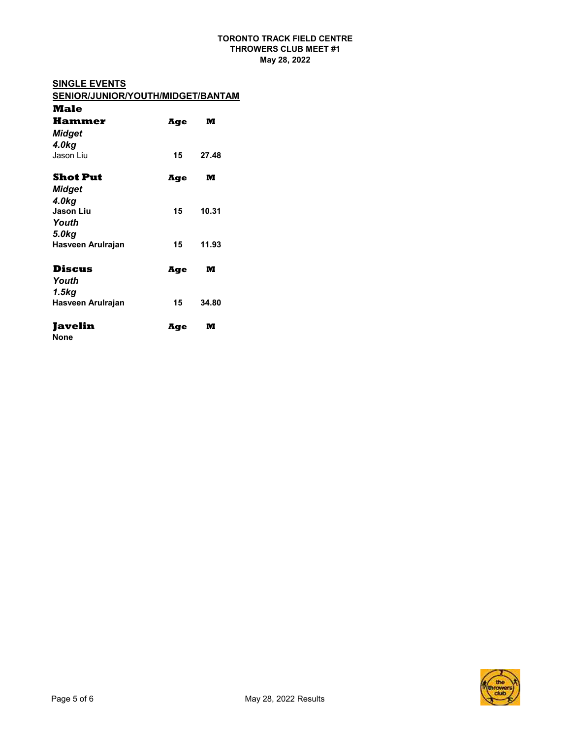## **SINGLE EVENTS**

| SENIOR/JUNIOR/YOUTH/MIDGET/BANTAM |     |       |  |
|-----------------------------------|-----|-------|--|
| Male                              |     |       |  |
| Hammer                            | Age | M     |  |
| Midget                            |     |       |  |
| 4.0kg                             |     |       |  |
| Jason Liu                         | 15  | 27.48 |  |
|                                   |     |       |  |
| <b>Shot Put</b>                   | Age | M     |  |
| Midget                            |     |       |  |

| <b>Discus</b><br>$\mathbf{v}$ $\mathbf{v}$ | Age | м     |  |
|--------------------------------------------|-----|-------|--|
| <b>Hasveen Arulrajan</b>                   | 15  | 11.93 |  |
| 5.0kg                                      |     |       |  |
| Youth                                      |     |       |  |
| <b>Jason Liu</b>                           | 15  | 10.31 |  |
| 4.0kg                                      |     |       |  |

| Javelin           | Age | M     |  |
|-------------------|-----|-------|--|
| Hasveen Arulrajan | 15  | 34.80 |  |
| 1.5kg             |     |       |  |
| Youth             |     |       |  |

**None**